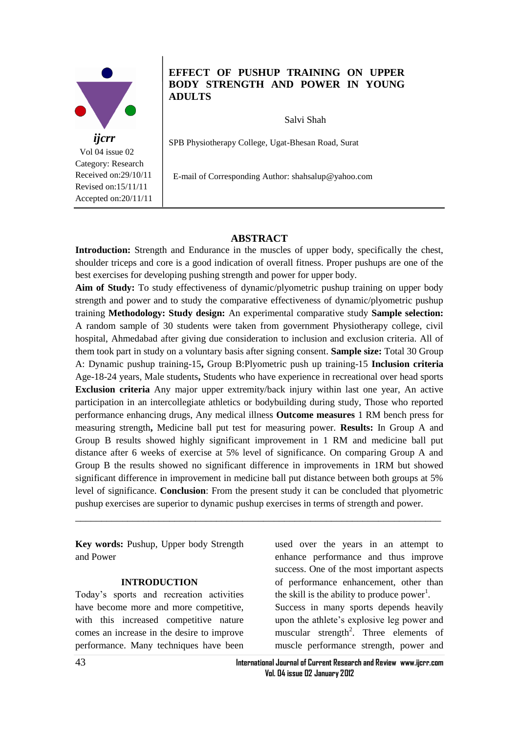

 Vol 04 issue 02 Category: Research Received on:29/10/11 Revised on:15/11/11 Accepted on:20/11/11

# **EFFECT OF PUSHUP TRAINING ON UPPER BODY STRENGTH AND POWER IN YOUNG ADULTS**

Salvi Shah

SPB Physiotherapy College, Ugat-Bhesan Road, Surat

E-mail of Corresponding Author: shahsalup@yahoo.com

#### **ABSTRACT**

**Introduction:** Strength and Endurance in the muscles of upper body, specifically the chest, shoulder triceps and core is a good indication of overall fitness. Proper pushups are one of the best exercises for developing pushing strength and power for upper body.

**Aim of Study:** To study effectiveness of dynamic/plyometric pushup training on upper body strength and power and to study the comparative effectiveness of dynamic/plyometric pushup training **Methodology: Study design:** An experimental comparative study **Sample selection:**  A random sample of 30 students were taken from government Physiotherapy college, civil hospital, Ahmedabad after giving due consideration to inclusion and exclusion criteria. All of them took part in study on a voluntary basis after signing consent. **Sample size:** Total 30 Group A: Dynamic pushup training-15**,** Group B:Plyometric push up training-15 **Inclusion criteria** Age-18-24 years, Male students**,** Students who have experience in recreational over head sports **Exclusion criteria** Any major upper extremity/back injury within last one year, An active participation in an intercollegiate athletics or bodybuilding during study, Those who reported performance enhancing drugs, Any medical illness **Outcome measures** 1 RM bench press for measuring strength**,** Medicine ball put test for measuring power. **Results:** In Group A and Group B results showed highly significant improvement in 1 RM and medicine ball put distance after 6 weeks of exercise at 5% level of significance. On comparing Group A and Group B the results showed no significant difference in improvements in 1RM but showed significant difference in improvement in medicine ball put distance between both groups at 5% level of significance. **Conclusion**: From the present study it can be concluded that plyometric pushup exercises are superior to dynamic pushup exercises in terms of strength and power.

\_\_\_\_\_\_\_\_\_\_\_\_\_\_\_\_\_\_\_\_\_\_\_\_\_\_\_\_\_\_\_\_\_\_\_\_\_\_\_\_\_\_\_\_\_\_\_\_\_\_\_\_\_\_\_\_\_\_\_\_\_\_\_\_\_\_\_\_\_\_

**Key words:** Pushup, Upper body Strength and Power

#### **INTRODUCTION**

Today's sports and recreation activities have become more and more competitive, with this increased competitive nature comes an increase in the desire to improve performance. Many techniques have been

used over the years in an attempt to enhance performance and thus improve success. One of the most important aspects of performance enhancement, other than the skill is the ability to produce power<sup>1</sup>. Success in many sports depends heavily upon the athlete's explosive leg power and muscular strength<sup>2</sup>. Three elements of muscle performance strength, power and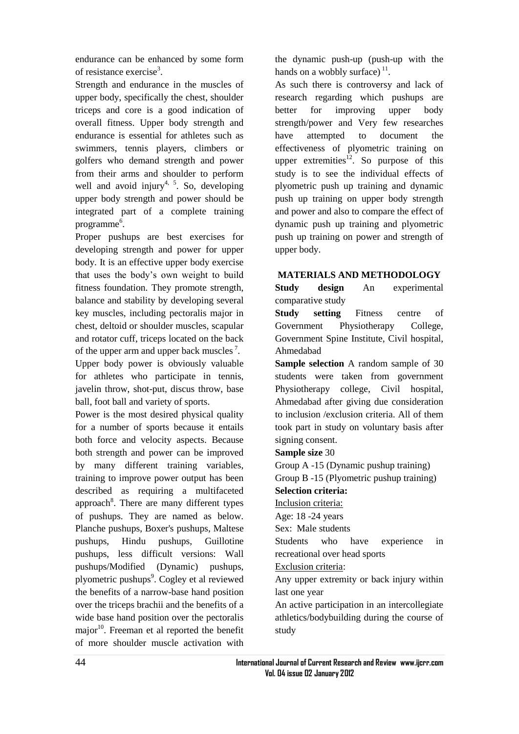endurance can be enhanced by some form of resistance exercise<sup>3</sup>.

Strength and endurance in the muscles of upper body, specifically the chest, shoulder triceps and core is a good indication of overall fitness. Upper body strength and endurance is essential for athletes such as swimmers, tennis players, climbers or golfers who demand strength and power from their arms and shoulder to perform well and avoid injury<sup>4, 5</sup>. So, developing upper body strength and power should be integrated part of a complete training programme<sup>6</sup>.

Proper pushups are best exercises for developing strength and power for upper body. It is an effective upper body exercise that uses the body's own weight to build fitness foundation. They promote strength, balance and stability by developing several key muscles, including pectoralis major in chest, deltoid or shoulder muscles, scapular and rotator cuff, triceps located on the back of the upper arm and upper back muscles<sup>7</sup>.

Upper body power is obviously valuable for athletes who participate in tennis, javelin throw, shot-put, discus throw, base ball, foot ball and variety of sports.

Power is the most desired physical quality for a number of sports because it entails both force and velocity aspects. Because both strength and power can be improved by many different training variables, training to improve power output has been described as requiring a multifaceted approach<sup>8</sup>. There are many different types of pushups. They are named as below. Planche pushups, Boxer's pushups, Maltese pushups, Hindu pushups, Guillotine pushups, less difficult versions: Wall pushups/Modified (Dynamic) pushups, plyometric pushups<sup>9</sup>. Cogley et al reviewed the benefits of a narrow-base hand position over the triceps brachii and the benefits of a wide base hand position over the pectoralis major $10$ . Freeman et al reported the benefit of more shoulder muscle activation with the dynamic push-up (push-up with the hands on a wobbly surface) $<sup>11</sup>$ .</sup>

As such there is controversy and lack of research regarding which pushups are better for improving upper body strength/power and Very few researches have attempted to document the effectiveness of plyometric training on upper extremities<sup>12</sup>. So purpose of this study is to see the individual effects of plyometric push up training and dynamic push up training on upper body strength and power and also to compare the effect of dynamic push up training and plyometric push up training on power and strength of upper body.

### **MATERIALS AND METHODOLOGY**

**Study design** An experimental comparative study

**Study setting** Fitness centre of Government Physiotherapy College, Government Spine Institute, Civil hospital, Ahmedabad

**Sample selection** A random sample of 30 students were taken from government Physiotherapy college, Civil hospital, Ahmedabad after giving due consideration to inclusion /exclusion criteria. All of them took part in study on voluntary basis after signing consent.

#### **Sample size** 30

Group A -15 (Dynamic pushup training) Group B -15 (Plyometric pushup training)

## **Selection criteria:**

Inclusion criteria:

Age: 18 -24 years

Sex: Male students

Students who have experience in recreational over head sports

Exclusion criteria:

Any upper extremity or back injury within last one year

An active participation in an intercollegiate athletics/bodybuilding during the course of study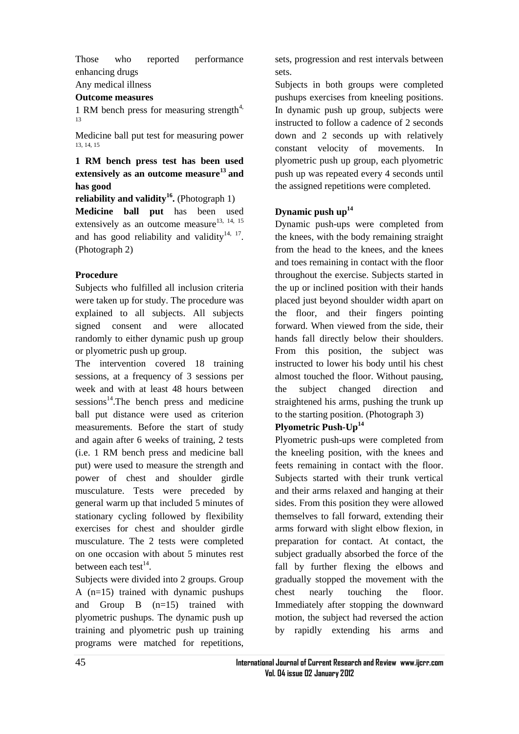Those who reported performance enhancing drugs

# Any medical illness

#### **Outcome measures**

1 RM bench press for measuring strength<sup>4,</sup> 13

Medicine ball put test for measuring power 13, 14, 15

**1 RM bench press test has been used extensively as an outcome measure<sup>13</sup>and has good**

**reliability and validity<sup>16</sup> .** (Photograph 1) **Medicine ball put** has been used extensively as an outcome measure $^{13, 14, 15}$ and has good reliability and validity $14, 17$ . (Photograph 2)

#### **Procedure**

Subjects who fulfilled all inclusion criteria were taken up for study. The procedure was explained to all subjects. All subjects signed consent and were allocated randomly to either dynamic push up group or plyometric push up group.

The intervention covered 18 training sessions, at a frequency of 3 sessions per week and with at least 48 hours between  $s$ essions<sup>14</sup>.The bench press and medicine ball put distance were used as criterion measurements. Before the start of study and again after 6 weeks of training, 2 tests (i.e. 1 RM bench press and medicine ball put) were used to measure the strength and power of chest and shoulder girdle musculature. Tests were preceded by general warm up that included 5 minutes of stationary cycling followed by flexibility exercises for chest and shoulder girdle musculature. The 2 tests were completed on one occasion with about 5 minutes rest between each test $^{14}$ .

Subjects were divided into 2 groups. Group A (n=15) trained with dynamic pushups and Group B (n=15) trained with plyometric pushups. The dynamic push up training and plyometric push up training programs were matched for repetitions,

sets, progression and rest intervals between sets.

Subjects in both groups were completed pushups exercises from kneeling positions. In dynamic push up group, subjects were instructed to follow a cadence of 2 seconds down and 2 seconds up with relatively constant velocity of movements. In plyometric push up group, each plyometric push up was repeated every 4 seconds until the assigned repetitions were completed.

### **Dynamic push up<sup>14</sup>**

Dynamic push-ups were completed from the knees, with the body remaining straight from the head to the knees, and the knees and toes remaining in contact with the floor throughout the exercise. Subjects started in the up or inclined position with their hands placed just beyond shoulder width apart on the floor, and their fingers pointing forward. When viewed from the side, their hands fall directly below their shoulders. From this position, the subject was instructed to lower his body until his chest almost touched the floor. Without pausing, the subject changed direction and straightened his arms, pushing the trunk up to the starting position. (Photograph 3)

# **Plyometric Push-Up<sup>14</sup>**

Plyometric push-ups were completed from the kneeling position, with the knees and feets remaining in contact with the floor. Subjects started with their trunk vertical and their arms relaxed and hanging at their sides. From this position they were allowed themselves to fall forward, extending their arms forward with slight elbow flexion, in preparation for contact. At contact, the subject gradually absorbed the force of the fall by further flexing the elbows and gradually stopped the movement with the chest nearly touching the floor. Immediately after stopping the downward motion, the subject had reversed the action by rapidly extending his arms and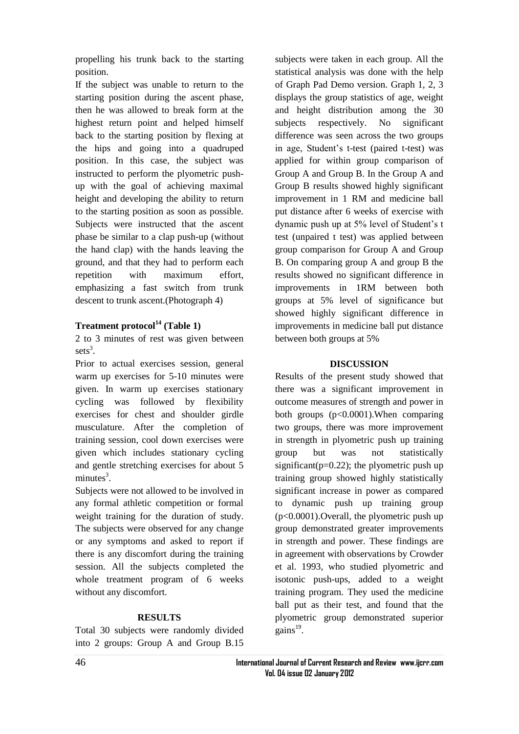propelling his trunk back to the starting position.

If the subject was unable to return to the starting position during the ascent phase, then he was allowed to break form at the highest return point and helped himself back to the starting position by flexing at the hips and going into a quadruped position. In this case, the subject was instructed to perform the plyometric pushup with the goal of achieving maximal height and developing the ability to return to the starting position as soon as possible. Subjects were instructed that the ascent phase be similar to a clap push-up (without the hand clap) with the hands leaving the ground, and that they had to perform each repetition with maximum effort, emphasizing a fast switch from trunk descent to trunk ascent.(Photograph 4)

### **Treatment protocol<sup>14</sup> (Table 1)**

2 to 3 minutes of rest was given between  $sets^3$ .

Prior to actual exercises session, general warm up exercises for 5-10 minutes were given. In warm up exercises stationary cycling was followed by flexibility exercises for chest and shoulder girdle musculature. After the completion of training session, cool down exercises were given which includes stationary cycling and gentle stretching exercises for about 5  $minutes<sup>3</sup>$ .

Subjects were not allowed to be involved in any formal athletic competition or formal weight training for the duration of study. The subjects were observed for any change or any symptoms and asked to report if there is any discomfort during the training session. All the subjects completed the whole treatment program of 6 weeks without any discomfort.

#### **RESULTS**

Total 30 subjects were randomly divided into 2 groups: Group A and Group B.15

subjects were taken in each group. All the statistical analysis was done with the help of Graph Pad Demo version. Graph 1, 2, 3 displays the group statistics of age, weight and height distribution among the 30 subjects respectively. No significant difference was seen across the two groups in age, Student's t-test (paired t-test) was applied for within group comparison of Group A and Group B. In the Group A and Group B results showed highly significant improvement in 1 RM and medicine ball put distance after 6 weeks of exercise with dynamic push up at 5% level of Student's t test (unpaired t test) was applied between group comparison for Group A and Group B. On comparing group A and group B the results showed no significant difference in improvements in 1RM between both groups at 5% level of significance but showed highly significant difference in improvements in medicine ball put distance between both groups at 5%

#### **DISCUSSION**

Results of the present study showed that there was a significant improvement in outcome measures of strength and power in both groups (p<0.0001).When comparing two groups, there was more improvement in strength in plyometric push up training group but was not statistically significant( $p=0.22$ ); the plyometric push up training group showed highly statistically significant increase in power as compared to dynamic push up training group (p<0.0001).Overall, the plyometric push up group demonstrated greater improvements in strength and power. These findings are in agreement with observations by Crowder et al. 1993, who studied plyometric and isotonic push-ups, added to a weight training program. They used the medicine ball put as their test, and found that the plyometric group demonstrated superior gains<sup>19</sup>.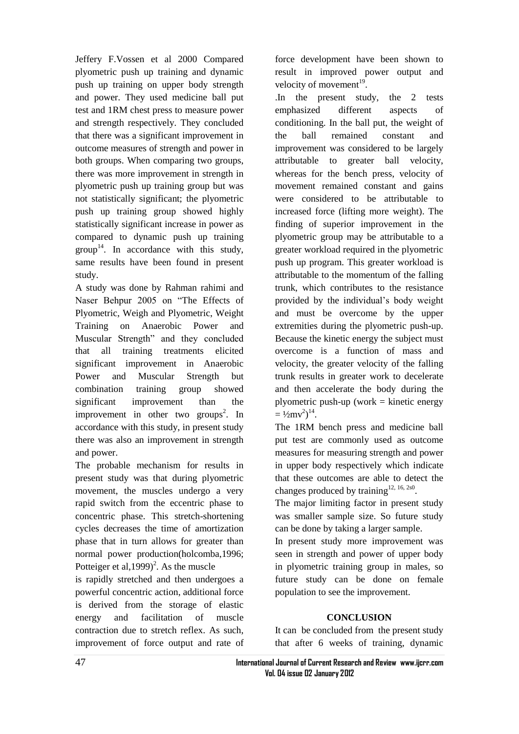Jeffery F.Vossen et al 2000 Compared plyometric push up training and dynamic push up training on upper body strength and power. They used medicine ball put test and 1RM chest press to measure power and strength respectively. They concluded that there was a significant improvement in outcome measures of strength and power in both groups. When comparing two groups, there was more improvement in strength in plyometric push up training group but was not statistically significant; the plyometric push up training group showed highly statistically significant increase in power as compared to dynamic push up training  $group<sup>14</sup>$ . In accordance with this study, same results have been found in present study.

A study was done by Rahman rahimi and Naser Behpur 2005 on "The Effects of Plyometric, Weigh and Plyometric, Weight Training on Anaerobic Power and Muscular Strength" and they concluded that all training treatments elicited significant improvement in Anaerobic Power and Muscular Strength but combination training group showed significant improvement than the improvement in other two groups<sup>2</sup>. In accordance with this study, in present study there was also an improvement in strength and power.

The probable mechanism for results in present study was that during plyometric movement, the muscles undergo a very rapid switch from the eccentric phase to concentric phase. This stretch-shortening cycles decreases the time of amortization phase that in turn allows for greater than normal power production(holcomba,1996; Potteiger et al,  $1999$ <sup>2</sup>. As the muscle

is rapidly stretched and then undergoes a powerful concentric action, additional force is derived from the storage of elastic energy and facilitation of muscle contraction due to stretch reflex. As such, improvement of force output and rate of force development have been shown to result in improved power output and velocity of movement<sup>19</sup>.

.In the present study, the 2 tests emphasized different aspects of conditioning. In the ball put, the weight of the ball remained constant and improvement was considered to be largely attributable to greater ball velocity, whereas for the bench press, velocity of movement remained constant and gains were considered to be attributable to increased force (lifting more weight). The finding of superior improvement in the plyometric group may be attributable to a greater workload required in the plyometric push up program. This greater workload is attributable to the momentum of the falling trunk, which contributes to the resistance provided by the individual's body weight and must be overcome by the upper extremities during the plyometric push-up. Because the kinetic energy the subject must overcome is a function of mass and velocity, the greater velocity of the falling trunk results in greater work to decelerate and then accelerate the body during the plyometric push-up (work  $=$  kinetic energy  $= \frac{1}{2}mv^2$ <sup>14</sup>.

The 1RM bench press and medicine ball put test are commonly used as outcome measures for measuring strength and power in upper body respectively which indicate that these outcomes are able to detect the changes produced by training<sup>12, 16, 2s0</sup>.

The major limiting factor in present study was smaller sample size. So future study can be done by taking a larger sample.

In present study more improvement was seen in strength and power of upper body in plyometric training group in males, so future study can be done on female population to see the improvement.

#### **CONCLUSION**

It can be concluded from the present study that after 6 weeks of training, dynamic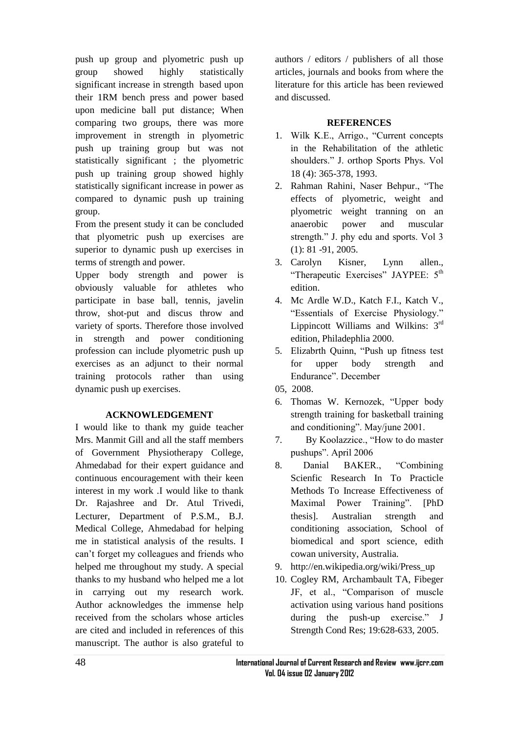push up group and plyometric push up group showed highly statistically significant increase in strength based upon their 1RM bench press and power based upon medicine ball put distance; When comparing two groups, there was more improvement in strength in plyometric push up training group but was not statistically significant ; the plyometric push up training group showed highly statistically significant increase in power as compared to dynamic push up training group.

From the present study it can be concluded that plyometric push up exercises are superior to dynamic push up exercises in terms of strength and power.

Upper body strength and power is obviously valuable for athletes who participate in base ball, tennis, javelin throw, shot-put and discus throw and variety of sports. Therefore those involved in strength and power conditioning profession can include plyometric push up exercises as an adjunct to their normal training protocols rather than using dynamic push up exercises.

#### **ACKNOWLEDGEMENT**

I would like to thank my guide teacher Mrs. Manmit Gill and all the staff members of Government Physiotherapy College, Ahmedabad for their expert guidance and continuous encouragement with their keen interest in my work .I would like to thank Dr. Rajashree and Dr. Atul Trivedi, Lecturer, Department of P.S.M., B.J. Medical College, Ahmedabad for helping me in statistical analysis of the results. I can't forget my colleagues and friends who helped me throughout my study. A special thanks to my husband who helped me a lot in carrying out my research work. Author acknowledges the immense help received from the scholars whose articles are cited and included in references of this manuscript. The author is also grateful to authors / editors / publishers of all those articles, journals and books from where the literature for this article has been reviewed and discussed.

## **REFERENCES**

- 1. Wilk K.E., Arrigo., "Current concepts in the Rehabilitation of the athletic shoulders." J. orthop Sports Phys. Vol 18 (4): 365-378, 1993.
- 2. Rahman Rahini, Naser Behpur., "The effects of plyometric, weight and plyometric weight tranning on an anaerobic power and muscular strength." J. phy edu and sports. Vol 3 (1): 81 -91, 2005.
- 3. Carolyn Kisner, Lynn allen., "Therapeutic Exercises" JAYPEE: 5<sup>th</sup> edition.
- 4. Mc Ardle W.D., Katch F.I., Katch V., "Essentials of Exercise Physiology." Lippincott Williams and Wilkins:  $3<sup>rd</sup>$ edition, Philadephlia 2000.
- 5. Elizabrth Quinn, "Push up fitness test for upper body strength and Endurance". December
- 05, 2008.
- 6. Thomas W. Kernozek, "Upper body strength training for basketball training and conditioning". May/june 2001.
- 7. By Koolazzice., "How to do master pushups". April 2006
- 8. Danial BAKER., "Combining Scienfic Research In To Practicle Methods To Increase Effectiveness of Maximal Power Training". [PhD thesis]. Australian strength and conditioning association, School of biomedical and sport science, edith cowan university, Australia.
- 9. [http://en.wikipedia.org/wiki/Press\\_up](http://en.wikipedia.org/wiki/Press_up)
- 10. Cogley RM, Archambault TA, Fibeger JF, et al., "Comparison of muscle activation using various hand positions during the push-up exercise." J Strength Cond Res; 19:628-633, 2005.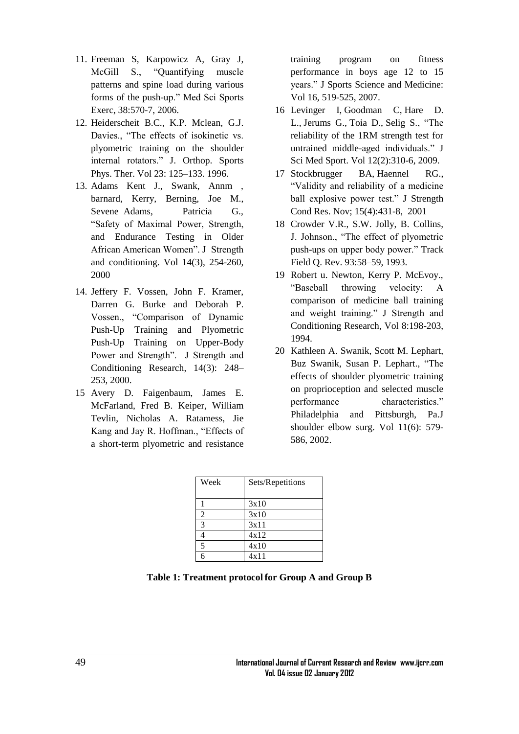- 11. Freeman S, Karpowicz A, Gray J, McGill S., "Quantifying muscle patterns and spine load during various forms of the push-up." Med Sci Sports Exerc, 38:570-7, 2006.
- 12. Heiderscheit B.C., K.P. Mclean, G.J. Davies., "The effects of isokinetic vs. plyometric training on the shoulder internal rotators." J. Orthop. Sports Phys. Ther. Vol 23: 125–133. 1996.
- 13. Adams Kent J., Swank, Annm , barnard, Kerry, Berning, Joe M., Sevene Adams, Patricia G., ―Safety of Maximal Power, Strength, and Endurance Testing in Older African American Women". J Strength and conditioning. Vol 14(3), 254-260, 2000
- 14. Jeffery F. Vossen, John F. Kramer, Darren G. Burke and Deborah P. Vossen., "Comparison of Dynamic Push-Up Training and Plyometric Push-Up Training on Upper-Body Power and Strength". J Strength and Conditioning Research, 14(3): 248– 253, 2000.
- 15 Avery D. Faigenbaum, James E. McFarland, Fred B. Keiper, William Tevlin, Nicholas A. Ratamess, Jie Kang and Jay R. Hoffman., "Effects of a short-term plyometric and resistance

training program on fitness performance in boys age 12 to 15 years." J Sports Science and Medicine: Vol 16, 519-525, 2007.

- 16 [Levinger I,](http://www.ncbi.nlm.nih.gov/pubmed?term=%22Levinger%20I%22%5BAuthor%5D&itool=EntrezSystem2.PEntrez.Pubmed.Pubmed_ResultsPanel.Pubmed_RVAbstract) [Goodman C,](http://www.ncbi.nlm.nih.gov/pubmed?term=%22Goodman%20C%22%5BAuthor%5D&itool=EntrezSystem2.PEntrez.Pubmed.Pubmed_ResultsPanel.Pubmed_RVAbstract) [Hare D.](http://www.ncbi.nlm.nih.gov/pubmed?term=%22Hare%20DL%22%5BAuthor%5D&itool=EntrezSystem2.PEntrez.Pubmed.Pubmed_ResultsPanel.Pubmed_RVAbstract)  [L.](http://www.ncbi.nlm.nih.gov/pubmed?term=%22Hare%20DL%22%5BAuthor%5D&itool=EntrezSystem2.PEntrez.Pubmed.Pubmed_ResultsPanel.Pubmed_RVAbstract), [Jerums G.](http://www.ncbi.nlm.nih.gov/pubmed?term=%22Jerums%20G%22%5BAuthor%5D&itool=EntrezSystem2.PEntrez.Pubmed.Pubmed_ResultsPanel.Pubmed_RVAbstract), [Toia D.](http://www.ncbi.nlm.nih.gov/pubmed?term=%22Toia%20D%22%5BAuthor%5D&itool=EntrezSystem2.PEntrez.Pubmed.Pubmed_ResultsPanel.Pubmed_RVAbstract), Selig S., "The reliability of the 1RM strength test for untrained middle-aged individuals." J Sci Med Sport. Vol 12(2):310-6, 2009.
- 17 Stockbrugger BA, Haennel RG., ―Validity and reliability of a medicine ball explosive power test." J Strength Cond Res. Nov; 15(4):431-8, 2001
- 18 Crowder V.R., S.W. Jolly, B. Collins, J. Johnson., "The effect of plyometric push-ups on upper body power." Track Field Q. Rev. 93:58–59, 1993.
- 19 Robert u. Newton, Kerry P. McEvoy., ―Baseball throwing velocity: A comparison of medicine ball training and weight training." J Strength and Conditioning Research, Vol 8:198-203, 1994.
- 20 Kathleen A. Swanik, Scott M. Lephart, Buz Swanik, Susan P. Lephart., "The effects of shoulder plyometric training on proprioception and selected muscle performance characteristics." Philadelphia and Pittsburgh, Pa.J shoulder elbow surg. Vol 11(6): 579- 586, 2002.

| Week           | Sets/Repetitions |
|----------------|------------------|
|                | 3x10             |
| $\overline{2}$ | 3x10             |
| $\mathcal{R}$  | 3x11             |
|                | 4x12             |
| $\mathbf{5}$   | 4x10             |
|                | 4x11             |

**Table 1: Treatment protocol for Group A and Group B**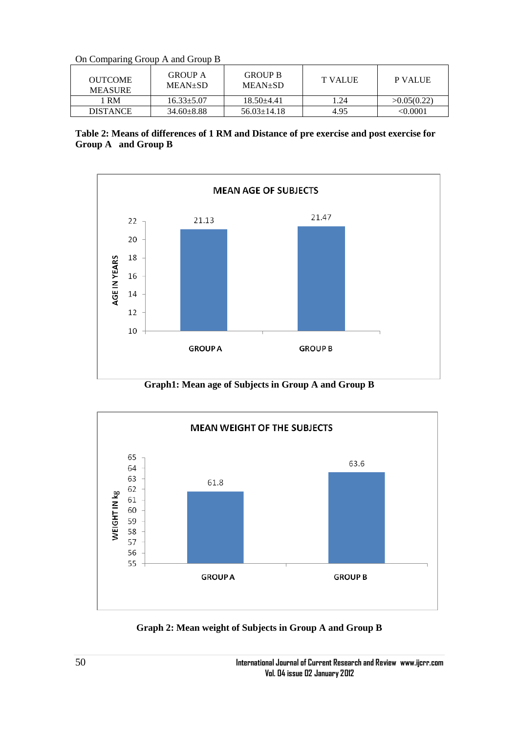On Comparing Group A and Group B

| OUTCOME<br><b>MEASURE</b> | <b>GROUP A</b><br>MEAN+SD | <b>GROUP B</b><br>MEAN+SD | <b>T VALUE</b> | <b>P VALUE</b> |
|---------------------------|---------------------------|---------------------------|----------------|----------------|
| 1 RM                      | $16.33 \pm 5.07$          | $18.50 + 4.41$            | 1.24           | >0.05(0.22)    |
| DISTANCE                  | $34.60 \pm 8.88$          | $56.03 \pm 14.18$         | 4.95           | <0.0001        |





**Graph1: Mean age of Subjects in Group A and Group B**



**Graph 2: Mean weight of Subjects in Group A and Group B**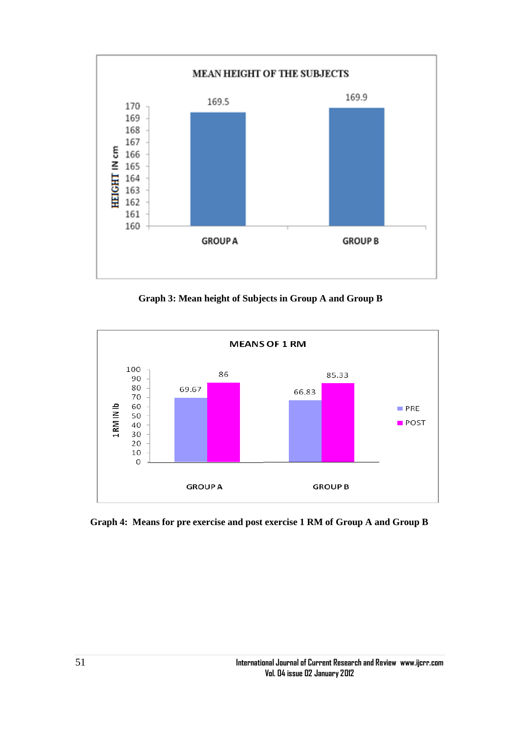

**Graph 3: Mean height of Subjects in Group A and Group B**



**Graph 4: Means for pre exercise and post exercise 1 RM of Group A and Group B**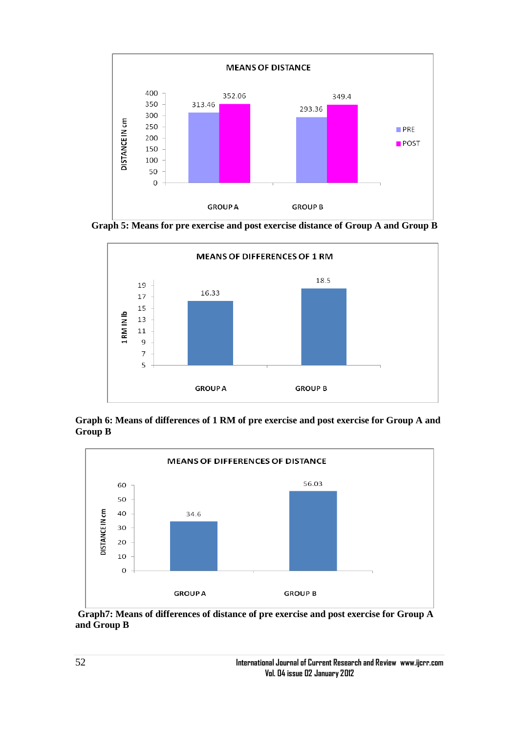

**Graph 5: Means for pre exercise and post exercise distance of Group A and Group B**



**Graph 6: Means of differences of 1 RM of pre exercise and post exercise for Group A and Group B**



**Graph7: Means of differences of distance of pre exercise and post exercise for Group A and Group B**